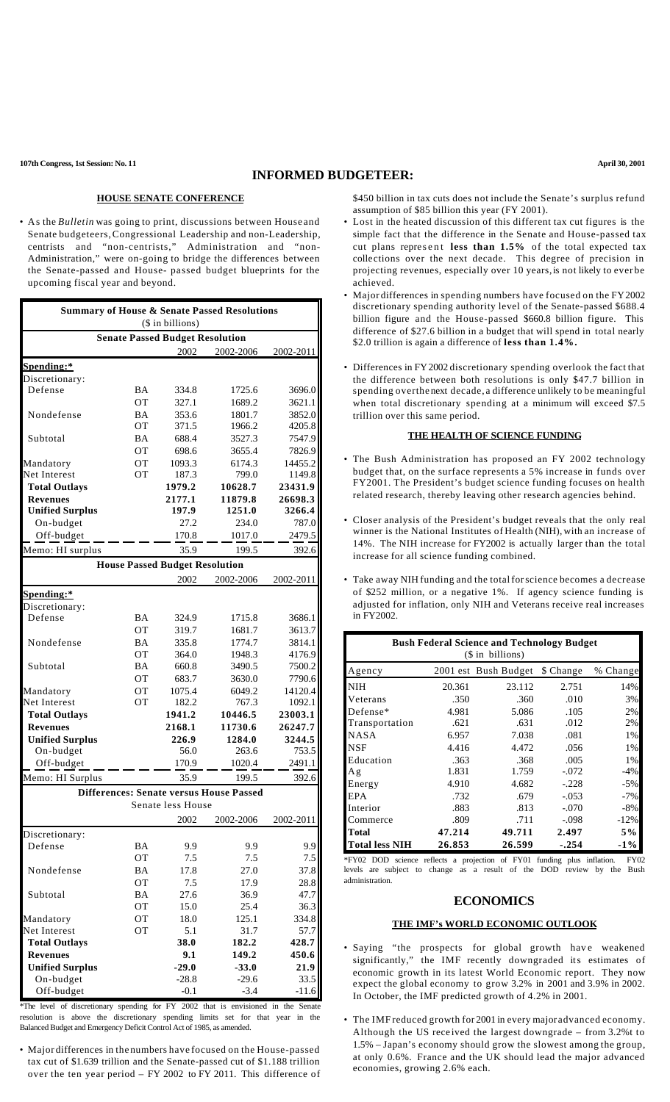# **INFORMED BUDGETEER:**

• As the *Bulletin* was going to print, discussions between House and Senate budgeteers,Congressional Leadership and non-Leadership, centrists and "non-centrists," Administration and "non-Administration," were on-going to bridge the differences between the Senate-passed and House- passed budget blueprints for the upcoming fiscal year and beyond.

| <b>Summary of House &amp; Senate Passed Resolutions</b><br>(\$ in billions) |           |                                        |                                                |           |  |
|-----------------------------------------------------------------------------|-----------|----------------------------------------|------------------------------------------------|-----------|--|
|                                                                             |           | <b>Senate Passed Budget Resolution</b> |                                                |           |  |
|                                                                             |           | 2002                                   | 2002-2006                                      | 2002-2011 |  |
| Spending:*                                                                  |           |                                        |                                                |           |  |
| Discretionary:                                                              |           |                                        |                                                |           |  |
| Defense                                                                     | <b>BA</b> | 334.8                                  | 1725.6                                         | 3696.0    |  |
|                                                                             | <b>OT</b> | 327.1                                  | 1689.2                                         | 3621.1    |  |
| Nondefense                                                                  | <b>BA</b> | 353.6                                  | 1801.7                                         | 3852.0    |  |
|                                                                             | <b>OT</b> | 371.5                                  | 1966.2                                         | 4205.8    |  |
| Subtotal                                                                    | <b>BA</b> | 688.4                                  | 3527.3                                         | 7547.9    |  |
|                                                                             | OТ        | 698.6                                  | 3655.4                                         | 7826.9    |  |
| Mandatory                                                                   | OT        | 1093.3                                 | 6174.3                                         | 14455.2   |  |
| Net Interest                                                                | OТ        | 187.3                                  | 799.0                                          | 1149.8    |  |
| <b>Total Outlays</b>                                                        |           | 1979.2                                 | 10628.7                                        | 23431.9   |  |
| <b>Revenues</b>                                                             |           | 2177.1                                 | 11879.8                                        | 26698.3   |  |
| <b>Unified Surplus</b>                                                      |           | 197.9                                  | 1251.0                                         | 3266.4    |  |
| On-budget                                                                   |           | 27.2                                   | 234.0                                          | 787.0     |  |
| Off-budget                                                                  |           | 170.8                                  | 1017.0                                         | 2479.5    |  |
| Memo: HI surplus                                                            |           | 35.9                                   | 199.5                                          | 392.6     |  |
|                                                                             |           | <b>House Passed Budget Resolution</b>  |                                                |           |  |
|                                                                             |           | 2002                                   | 2002-2006                                      | 2002-2011 |  |
| Spending:*                                                                  |           |                                        |                                                |           |  |
| Discretionary:                                                              |           |                                        |                                                |           |  |
| Defense                                                                     | BA        | 324.9                                  | 1715.8                                         | 3686.1    |  |
|                                                                             | <b>OT</b> | 319.7                                  | 1681.7                                         | 3613.7    |  |
| Nondefense                                                                  | <b>BA</b> | 335.8                                  | 1774.7                                         | 3814.1    |  |
|                                                                             | <b>OT</b> | 364.0                                  | 1948.3                                         | 4176.9    |  |
| Subtotal                                                                    | BA        | 660.8                                  | 3490.5                                         | 7500.2    |  |
|                                                                             | <b>OT</b> | 683.7                                  | 3630.0                                         | 7790.6    |  |
| Mandatory                                                                   | ОT        | 1075.4                                 | 6049.2                                         | 14120.4   |  |
| Net Interest                                                                | OТ        | 182.2                                  | 767.3                                          | 1092.1    |  |
| <b>Total Outlays</b>                                                        |           | 1941.2                                 | 10446.5                                        | 23003.1   |  |
| <b>Revenues</b>                                                             |           | 2168.1                                 | 11730.6                                        | 26247.7   |  |
| <b>Unified Surplus</b>                                                      |           | 226.9                                  | 1284.0                                         | 3244.5    |  |
| On-budget                                                                   |           | 56.0                                   | 263.6                                          | 753.5     |  |
| Off-budget                                                                  |           | 170.9                                  | 1020.4                                         | 2491.1    |  |
| Memo: HI Surplus                                                            |           | 35.9                                   | 199.5                                          | 392.6     |  |
|                                                                             |           |                                        |                                                |           |  |
|                                                                             |           | Senate less House                      | <b>Differences: Senate versus House Passed</b> |           |  |
|                                                                             |           |                                        |                                                |           |  |
|                                                                             |           | 2002                                   | 2002-2006                                      | 2002-2011 |  |
| Discretionary:                                                              |           |                                        |                                                |           |  |
| Defense                                                                     | <b>BA</b> | 9.9                                    | 9.9                                            | 9.9       |  |
|                                                                             | ОT        | 7.5                                    | 7.5                                            | 7.5       |  |
| Nondefense                                                                  | BA        | 17.8                                   | 27.0                                           | 37.8      |  |
|                                                                             | ОT        | 7.5                                    | 17.9                                           | 28.8      |  |
| Subtotal                                                                    | BA        | 27.6                                   | 36.9                                           | 47.7      |  |
|                                                                             | OT        | 15.0                                   | 25.4                                           | 36.3      |  |
| Mandatory                                                                   | OT        | 18.0                                   | 125.1                                          | 334.8     |  |
| Net Interest                                                                | OT        | 5.1                                    | 31.7                                           | 57.7      |  |
| <b>Total Outlays</b>                                                        |           | 38.0                                   | 182.2                                          | 428.7     |  |
| <b>Revenues</b>                                                             |           | 9.1                                    | 149.2                                          | 450.6     |  |
| <b>Unified Surplus</b>                                                      |           | $-29.0$                                | $-33.0$                                        | 21.9      |  |
| On-budget                                                                   |           | $-28.8$                                | $-29.6$                                        | 33.5      |  |
| Off-budget                                                                  |           | $-0.1$                                 | $-3.4$                                         | $-11.6$   |  |

\*The level of discretionary spending for FY 2002 that is envisioned in the Senate resolution is above the discretionary spending limits set for that year in the Balanced Budget and Emergency Deficit Control Act of 1985, as amended.

• Major differences in the numbers have focused on the House-passed tax cut of \$1.639 trillion and the Senate-passed cut of \$1.188 trillion over the ten year period – FY 2002 to FY 2011. This difference of

\$450 billion in tax cuts does not include the Senate's surplus refund assumption of \$85 billion this year (FY 2001).

- Lost in the heated discussion of this different tax cut figures is the simple fact that the difference in the Senate and House-passed tax cut plans represent **less than 1.5%** of the total expected tax collections over the next decade. This degree of precision in projecting revenues, especially over 10 years, is not likely to ever be achieved.
- Major differences in spending numbers have focused on the FY2002 discretionary spending authority level of the Senate-passed \$688.4 billion figure and the House-passed \$660.8 billion figure. This difference of \$27.6 billion in a budget that will spend in total nearly \$2.0 trillion is again a difference of **less than 1.4%.**
- Differences in FY2002 discretionary spending overlook the fact that the difference between both resolutions is only \$47.7 billion in spending overthe next decade, a difference unlikely to be meaningful when total discretionary spending at a minimum will exceed \$7.5 trillion over this same period.

### **THE HEALTH OF SCIENCE FUNDING**

- The Bush Administration has proposed an FY 2002 technology budget that, on the surface represents a 5% increase in funds over FY2001. The President's budget science funding focuses on health related research, thereby leaving other research agencies behind.
- Closer analysis of the President's budget reveals that the only real winner is the National Institutes of Health (NIH), with an increase of 14%. The NIH increase for FY2002 is actually larger than the total increase for all science funding combined.
- Take away NIH funding and the totalforscience becomes a decrease of \$252 million, or a negative 1%. If agency science funding is adjusted for inflation, only NIH and Veterans receive real increases in FY2002.

| <b>Bush Federal Science and Technology Budget</b><br>$($$ in billions) |        |                      |           |          |  |  |  |
|------------------------------------------------------------------------|--------|----------------------|-----------|----------|--|--|--|
| Agency                                                                 |        | 2001 est Bush Budget | \$ Change | % Change |  |  |  |
| <b>NIH</b>                                                             | 20.361 | 23.112               | 2.751     | 14%      |  |  |  |
| Veterans                                                               | .350   | .360                 | .010      | 3%       |  |  |  |
| Defense*                                                               | 4.981  | 5.086                | .105      | 2%       |  |  |  |
| Transportation                                                         | .621   | .631                 | .012      | 2%       |  |  |  |
| <b>NASA</b>                                                            | 6.957  | 7.038                | .081      | 1%       |  |  |  |
| <b>NSF</b>                                                             | 4.416  | 4.472                | .056      | 1%       |  |  |  |
| Education                                                              | .363   | .368                 | .005      | 1%       |  |  |  |
| Ag                                                                     | 1.831  | 1.759                | $-.072$   | $-4%$    |  |  |  |
| Energy                                                                 | 4.910  | 4.682                | $-.228$   | $-5%$    |  |  |  |
| EPA                                                                    | .732   | .679                 | $-.053$   | $-7%$    |  |  |  |
| Interior                                                               | .883   | .813                 | $-.070$   | $-8%$    |  |  |  |
| Commerce                                                               | .809   | .711                 | $-.098$   | $-12%$   |  |  |  |
| Total                                                                  | 47.214 | 49.711               | 2.497     | $5\%$    |  |  |  |
| <b>Total less NIH</b>                                                  | 26.853 | 26.599               | $-.254$   | $-1\%$   |  |  |  |

\*FY02 DOD science reflects a projection of FY01 funding plus inflation. FY02 levels are subject to change as a result of the DOD review by the Bush administration.

#### **ECONOMICS**

#### **THE IMF's WORLD ECONOMIC OUTLOOK**

- Saying "the prospects for global growth have weakened significantly," the IMF recently downgraded its estimates of economic growth in its latest World Economic report. They now expect the global economy to grow 3.2% in 2001 and 3.9% in 2002. In October, the IMF predicted growth of 4.2% in 2001.
- The IMF reduced growth for 2001 in every major advanced economy. Although the US rece ived the largest downgrade – from 3.2%t to 1.5% – Japan's economy should grow the slowest among the group, at only 0.6%. France and the UK should lead the major advanced economies, growing 2.6% each.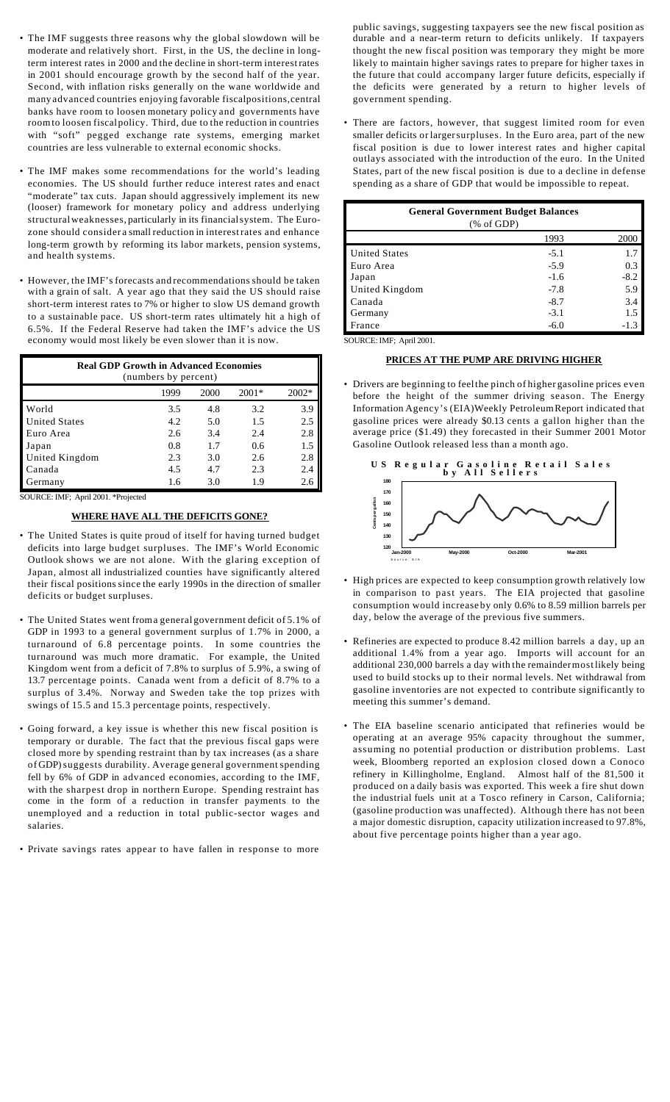- The IMF suggests three reasons why the global slowdown will be moderate and relatively short. First, in the US, the decline in longterm interest rates in 2000 and the decline in short-term interestrates in 2001 should encourage growth by the second half of the year. Second, with inflation risks generally on the wane worldwide and many advanced countries enjoying favorable fiscalpositions,central banks have room to loosen monetary policy and governments have roomto loosen fiscal policy. Third, due to the reduction in countries with "soft" pegged exchange rate systems, emerging market countries are less vulnerable to external economic shocks.
- The IMF makes some recommendations for the world's leading economies. The US should further reduce interest rates and enact "moderate" tax cuts. Japan should aggressively implement its new (looser) framework for monetary policy and address underlying structuralweaknesses, particularly in its financialsystem. The Eurozone should consider a small reduction in interestrates and enhance long-term growth by reforming its labor markets, pension systems, and health systems.
- However, the IMF's forecasts and recommendations should be taken with a grain of salt. A year ago that they said the US should raise short-term interest rates to 7% or higher to slow US demand growth to a sustainable pace. US short-term rates ultimately hit a high of 6.5%. If the Federal Reserve had taken the IMF's advice the US economy would most likely be even slower than it is now.

| <b>Real GDP Growth in Advanced Economies</b><br>(numbers by percent) |      |      |         |       |  |  |
|----------------------------------------------------------------------|------|------|---------|-------|--|--|
|                                                                      | 1999 | 2000 | $2001*$ | 2002* |  |  |
| World                                                                | 3.5  | 4.8  | 3.2     | 3.9   |  |  |
| <b>United States</b>                                                 | 4.2  | 5.0  | 1.5     | 2.5   |  |  |
| Euro Area                                                            | 2.6  | 3.4  | 2.4     | 2.8   |  |  |
| Japan                                                                | 0.8  | 1.7  | 0.6     | 1.5   |  |  |
| United Kingdom                                                       | 2.3  | 3.0  | 2.6     | 2.8   |  |  |
| Canada                                                               | 4.5  | 4.7  | 2.3     | 2.4   |  |  |
| Germany                                                              | 1.6  | 3.0  | 1.9     | 2.6   |  |  |

SOURCE: IMF; April 2001. \*Projected

### **WHERE HAVE ALL THE DEFICITS GONE?**

- The United States is quite proud of itself for having turned budget deficits into large budget surpluses. The IMF's World Economic Outlook shows we are not alone. With the glaring exception of Japan, almost all industrialized counties have significantly altered their fiscal positions since the early 1990s in the direction of smaller deficits or budget surpluses.
- The United States went froma general government deficit of 5.1% of GDP in 1993 to a general government surplus of 1.7% in 2000, a turnaround of 6.8 percentage points. In some countries the turnaround was much more dramatic. For example, the United Kingdom went from a deficit of 7.8% to surplus of 5.9%, a swing of 13.7 percentage points. Canada went from a deficit of 8.7% to a surplus of 3.4%. Norway and Sweden take the top prizes with swings of 15.5 and 15.3 percentage points, respectively.
- Going forward, a key issue is whether this new fiscal position is temporary or durable. The fact that the previous fiscal gaps were closed more by spending restraint than by tax increases (as a share of GDP)suggests durability. Average general government spending fell by 6% of GDP in advanced economies, according to the IMF, with the sharpest drop in northern Europe. Spending restraint has come in the form of a reduction in transfer payments to the unemployed and a reduction in total public-sector wages and salaries.
- Private savings rates appear to have fallen in response to more

public savings, suggesting taxpayers see the new fiscal position as durable and a near-term return to deficits unlikely. If taxpayers thought the new fiscal position was temporary they might be more likely to maintain higher savings rates to prepare for higher taxes in the future that could accompany larger future deficits, especially if the deficits were generated by a return to higher levels of government spending.

• There are factors, however, that suggest limited room for even smaller deficits or largersurpluses. In the Euro area, part of the new fiscal position is due to lower interest rates and higher capital outlays associated with the introduction of the euro. In the United States, part of the new fiscal position is due to a decline in defense spending as a share of GDP that would be impossible to repeat.

| <b>General Government Budget Balances</b><br>$(% \mathcal{L}_{0}^{\infty}$ (% of GDP) |        |        |  |  |  |
|---------------------------------------------------------------------------------------|--------|--------|--|--|--|
|                                                                                       | 1993   | 2000   |  |  |  |
| <b>United States</b>                                                                  | $-5.1$ | 1.7    |  |  |  |
| Euro Area                                                                             | $-5.9$ | 0.3    |  |  |  |
| Japan                                                                                 | $-1.6$ | $-8.2$ |  |  |  |
| United Kingdom                                                                        | $-7.8$ | 5.9    |  |  |  |
| Canada                                                                                | $-8.7$ | 3.4    |  |  |  |
| Germany                                                                               | $-3.1$ | 1.5    |  |  |  |
| France                                                                                | $-6.0$ | -1.3   |  |  |  |

SOURCE: IMF; April 2001.

# **PRICES AT THE PUMP ARE DRIVING HIGHER**

• Drivers are beginning to feelthe pinch of higher gasoline prices even before the height of the summer driving season. The Energy Information Agency's (EIA)Weekly PetroleumReport indicated that gasoline prices were already \$0.13 cents a gallon higher than the average price (\$1.49) they forecasted in their Summer 2001 Motor Gasoline Outlook released less than a month ago.



- High prices are expected to keep consumption growth relatively low in comparison to past years. The EIA projected that gasoline consumption would increase by only 0.6% to 8.59 million barrels per day, below the average of the previous five summers.
- Refineries are expected to produce 8.42 million barrels a day, up an additional 1.4% from a year ago. Imports will account for an additional 230,000 barrels a day with the remaindermost likely being used to build stocks up to their normal levels. Net withdrawal from gasoline inventories are not expected to contribute significantly to meeting this summer's demand.
- The EIA baseline scenario anticipated that refineries would be operating at an average 95% capacity throughout the summer, assuming no potential production or distribution problems. Last week, Bloomberg reported an explosion closed down a Conoco refinery in Killingholme, England. Almost half of the 81,500 it produced on a daily basis was exported. This week a fire shut down the industrial fuels unit at a Tosco refinery in Carson, California; (gasoline production was unaffected). Although there has not been a major domestic disruption, capacity utilization increased to 97.8%, about five percentage points higher than a year ago.